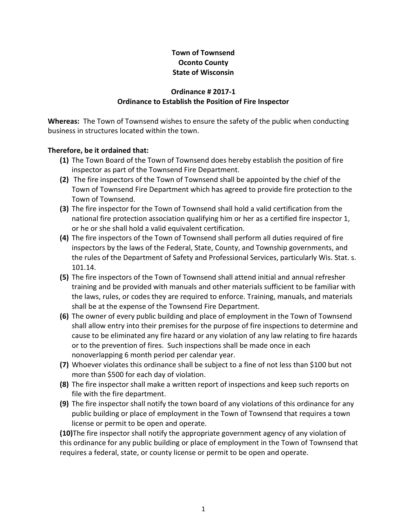## Town of Townsend Oconto County State of Wisconsin

## Ordinance # 2017-1 Ordinance to Establish the Position of Fire Inspector

Whereas: The Town of Townsend wishes to ensure the safety of the public when conducting business in structures located within the town.

## Therefore, be it ordained that:

- (1) The Town Board of the Town of Townsend does hereby establish the position of fire inspector as part of the Townsend Fire Department.
- (2) The fire inspectors of the Town of Townsend shall be appointed by the chief of the Town of Townsend Fire Department which has agreed to provide fire protection to the Town of Townsend.
- (3) The fire inspector for the Town of Townsend shall hold a valid certification from the national fire protection association qualifying him or her as a certified fire inspector 1, or he or she shall hold a valid equivalent certification.
- (4) The fire inspectors of the Town of Townsend shall perform all duties required of fire inspectors by the laws of the Federal, State, County, and Township governments, and the rules of the Department of Safety and Professional Services, particularly Wis. Stat. s. 101.14.
- (5) The fire inspectors of the Town of Townsend shall attend initial and annual refresher training and be provided with manuals and other materials sufficient to be familiar with the laws, rules, or codes they are required to enforce. Training, manuals, and materials shall be at the expense of the Townsend Fire Department.
- (6) The owner of every public building and place of employment in the Town of Townsend shall allow entry into their premises for the purpose of fire inspections to determine and cause to be eliminated any fire hazard or any violation of any law relating to fire hazards or to the prevention of fires. Such inspections shall be made once in each nonoverlapping 6 month period per calendar year.
- (7) Whoever violates this ordinance shall be subject to a fine of not less than \$100 but not more than \$500 for each day of violation.
- (8) The fire inspector shall make a written report of inspections and keep such reports on file with the fire department.
- (9) The fire inspector shall notify the town board of any violations of this ordinance for any public building or place of employment in the Town of Townsend that requires a town license or permit to be open and operate.

(10)The fire inspector shall notify the appropriate government agency of any violation of this ordinance for any public building or place of employment in the Town of Townsend that requires a federal, state, or county license or permit to be open and operate.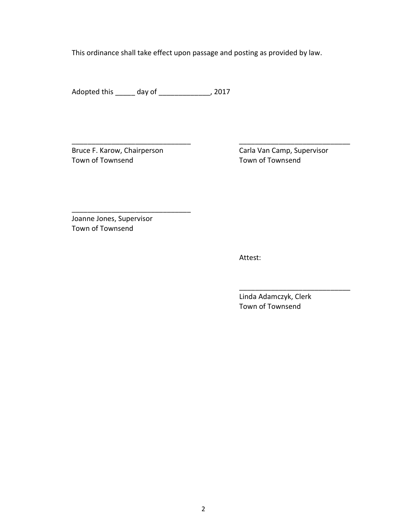This ordinance shall take effect upon passage and posting as provided by law.

\_\_\_\_\_\_\_\_\_\_\_\_\_\_\_\_\_\_\_\_\_\_\_\_\_\_\_\_\_\_ \_\_\_\_\_\_\_\_\_\_\_\_\_\_\_\_\_\_\_\_\_\_\_\_\_\_\_\_

 $\overline{\phantom{a}}$  , and the contract of the contract of the contract of the contract of the contract of the contract of the contract of the contract of the contract of the contract of the contract of the contract of the contrac

Adopted this \_\_\_\_\_ day of \_\_\_\_\_\_\_\_\_\_\_\_\_, 2017

Bruce F. Karow, Chairperson Carla Van Camp, Supervisor Town of Townsend Town of Townsend

Joanne Jones, Supervisor Town of Townsend

\_\_\_\_\_\_\_\_\_\_\_\_\_\_\_\_\_\_\_\_\_\_\_\_\_\_\_\_\_\_

Attest:

 Linda Adamczyk, Clerk Town of Townsend